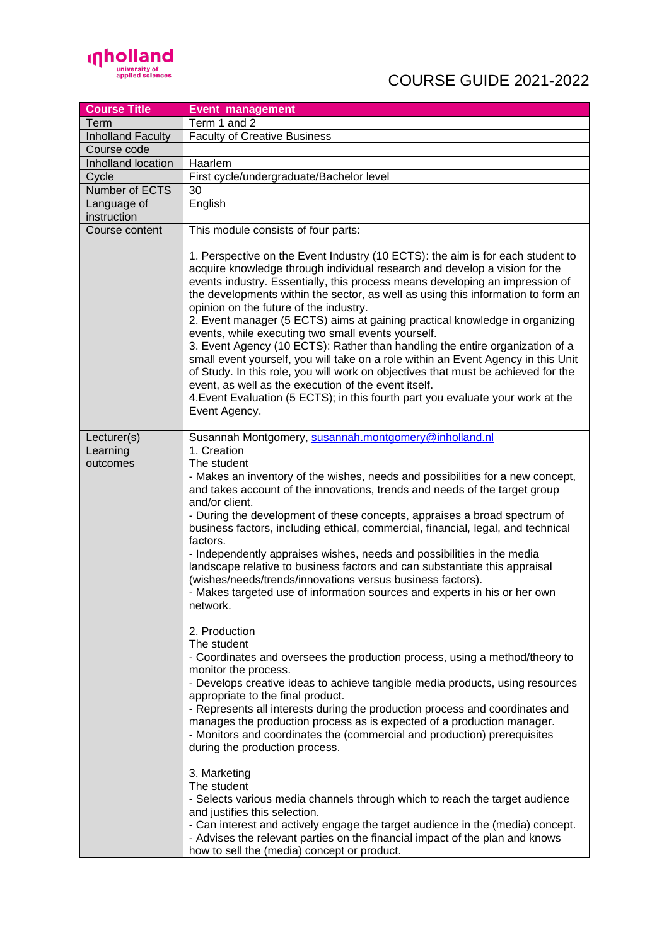

| <b>Course Title</b>        | <b>Event management</b>                                                                                                                                                                                                                                                                                                                                                                                                                                                                                                                                                                                                                                                                                                                                                                                                                                                                                                               |
|----------------------------|---------------------------------------------------------------------------------------------------------------------------------------------------------------------------------------------------------------------------------------------------------------------------------------------------------------------------------------------------------------------------------------------------------------------------------------------------------------------------------------------------------------------------------------------------------------------------------------------------------------------------------------------------------------------------------------------------------------------------------------------------------------------------------------------------------------------------------------------------------------------------------------------------------------------------------------|
| Term                       | Term 1 and 2                                                                                                                                                                                                                                                                                                                                                                                                                                                                                                                                                                                                                                                                                                                                                                                                                                                                                                                          |
| <b>Inholland Faculty</b>   | <b>Faculty of Creative Business</b>                                                                                                                                                                                                                                                                                                                                                                                                                                                                                                                                                                                                                                                                                                                                                                                                                                                                                                   |
| Course code                |                                                                                                                                                                                                                                                                                                                                                                                                                                                                                                                                                                                                                                                                                                                                                                                                                                                                                                                                       |
| Inholland location         | Haarlem                                                                                                                                                                                                                                                                                                                                                                                                                                                                                                                                                                                                                                                                                                                                                                                                                                                                                                                               |
| Cycle                      | First cycle/undergraduate/Bachelor level                                                                                                                                                                                                                                                                                                                                                                                                                                                                                                                                                                                                                                                                                                                                                                                                                                                                                              |
| Number of ECTS             | 30                                                                                                                                                                                                                                                                                                                                                                                                                                                                                                                                                                                                                                                                                                                                                                                                                                                                                                                                    |
| Language of<br>instruction | English                                                                                                                                                                                                                                                                                                                                                                                                                                                                                                                                                                                                                                                                                                                                                                                                                                                                                                                               |
| Course content             | This module consists of four parts:                                                                                                                                                                                                                                                                                                                                                                                                                                                                                                                                                                                                                                                                                                                                                                                                                                                                                                   |
|                            | 1. Perspective on the Event Industry (10 ECTS): the aim is for each student to<br>acquire knowledge through individual research and develop a vision for the<br>events industry. Essentially, this process means developing an impression of<br>the developments within the sector, as well as using this information to form an<br>opinion on the future of the industry.<br>2. Event manager (5 ECTS) aims at gaining practical knowledge in organizing<br>events, while executing two small events yourself.<br>3. Event Agency (10 ECTS): Rather than handling the entire organization of a<br>small event yourself, you will take on a role within an Event Agency in this Unit<br>of Study. In this role, you will work on objectives that must be achieved for the<br>event, as well as the execution of the event itself.<br>4. Event Evaluation (5 ECTS); in this fourth part you evaluate your work at the<br>Event Agency. |
| Lecturer(s)                | Susannah Montgomery, susannah.montgomery@inholland.nl                                                                                                                                                                                                                                                                                                                                                                                                                                                                                                                                                                                                                                                                                                                                                                                                                                                                                 |
| Learning<br>outcomes       | 1. Creation<br>The student<br>- Makes an inventory of the wishes, needs and possibilities for a new concept,<br>and takes account of the innovations, trends and needs of the target group<br>and/or client.<br>- During the development of these concepts, appraises a broad spectrum of<br>business factors, including ethical, commercial, financial, legal, and technical<br>factors.<br>- Independently appraises wishes, needs and possibilities in the media<br>landscape relative to business factors and can substantiate this appraisal<br>(wishes/needs/trends/innovations versus business factors).<br>- Makes targeted use of information sources and experts in his or her own                                                                                                                                                                                                                                          |
|                            | network.<br>2. Production<br>The student<br>- Coordinates and oversees the production process, using a method/theory to<br>monitor the process.<br>- Develops creative ideas to achieve tangible media products, using resources<br>appropriate to the final product.<br>- Represents all interests during the production process and coordinates and<br>manages the production process as is expected of a production manager.<br>- Monitors and coordinates the (commercial and production) prerequisites<br>during the production process.<br>3. Marketing<br>The student<br>- Selects various media channels through which to reach the target audience<br>and justifies this selection.<br>- Can interest and actively engage the target audience in the (media) concept.<br>- Advises the relevant parties on the financial impact of the plan and knows<br>how to sell the (media) concept or product.                         |